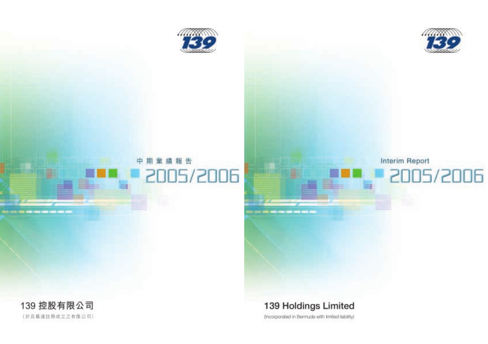

# Interim Report 2005/2006

## 139 Holdings Limited

(incorporated in Bermuda with Imited liability)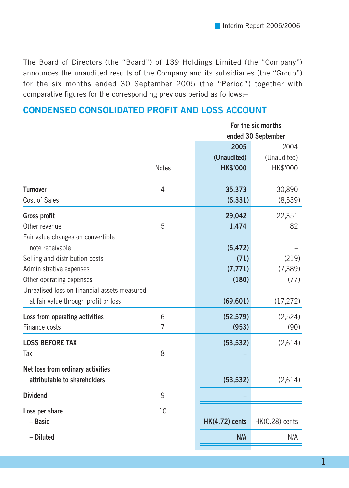The Board of Directors (the "Board") of 139 Holdings Limited (the "Company") announces the unaudited results of the Company and its subsidiaries (the "Group") for the six months ended 30 September 2005 (the "Period") together with comparative figures for the corresponding previous period as follows:–

## **CONDENSED CONSOLIDATED PROFIT AND LOSS ACCOUNT**

|                                              |                | For the six months    |                    |  |
|----------------------------------------------|----------------|-----------------------|--------------------|--|
|                                              |                |                       | ended 30 September |  |
|                                              |                | 2005                  | 2004               |  |
|                                              |                | (Unaudited)           | (Unaudited)        |  |
|                                              | <b>Notes</b>   | <b>HK\$'000</b>       | HK\$'000           |  |
| <b>Turnover</b>                              | 4              | 35,373                | 30,890             |  |
| Cost of Sales                                |                | (6, 331)              | (8, 539)           |  |
| Gross profit                                 |                | 29,042                | 22,351             |  |
| Other revenue                                | 5              | 1,474                 | 82                 |  |
| Fair value changes on convertible            |                |                       |                    |  |
| note receivable                              |                | (5, 472)              |                    |  |
| Selling and distribution costs               |                | (71)                  | (219)              |  |
| Administrative expenses                      |                | (7, 771)              | (7, 389)           |  |
| Other operating expenses                     |                | (180)                 | (77)               |  |
| Unrealised loss on financial assets measured |                |                       |                    |  |
| at fair value through profit or loss         |                | (69, 601)             | (17, 272)          |  |
| Loss from operating activities               | 6              | (52, 579)             | (2,524)            |  |
| Finance costs                                | $\overline{7}$ | (953)                 | (90)               |  |
| <b>LOSS BEFORE TAX</b>                       |                | (53, 532)             | (2,614)            |  |
| Tax                                          | 8              |                       |                    |  |
| Net loss from ordinary activities            |                |                       |                    |  |
| attributable to shareholders                 |                | (53, 532)             | (2,614)            |  |
| <b>Dividend</b>                              | 9              |                       |                    |  |
| Loss per share                               | 10             |                       |                    |  |
| - Basic                                      |                | <b>HK(4.72) cents</b> | HK(0.28) cents     |  |
| - Diluted                                    |                | N/A                   | N/A                |  |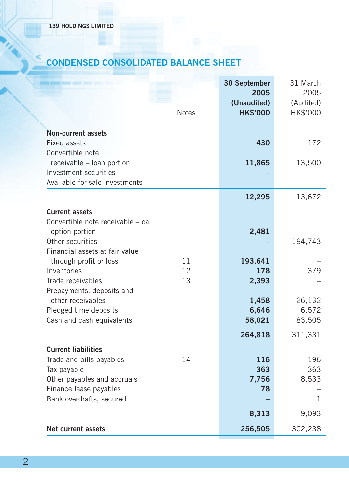## **CONDENSED CONSOLIDATED BALANCE SHEET**

|                                                    |              | 30 September<br>2005<br>(Unaudited) | 31 March<br>2005<br>(Audited) |
|----------------------------------------------------|--------------|-------------------------------------|-------------------------------|
|                                                    | <b>Notes</b> | <b>HK\$'000</b>                     | HK\$'000                      |
| <b>Non-current assets</b>                          |              |                                     |                               |
| <b>Fixed assets</b>                                |              | 430                                 | 172                           |
| Convertible note                                   |              |                                     |                               |
| receivable - loan portion                          |              | 11,865                              | 13,500                        |
| Investment securities                              |              |                                     |                               |
| Available-for-sale investments                     |              |                                     |                               |
|                                                    |              | 12,295                              | 13,672                        |
| <b>Current assets</b>                              |              |                                     |                               |
| Convertible note receivable - call                 |              |                                     |                               |
| option portion                                     |              | 2,481                               |                               |
| Other securities                                   |              |                                     | 194,743                       |
| Financial assets at fair value                     |              |                                     |                               |
| through profit or loss                             | 11           | 193,641                             |                               |
| Inventories                                        | 12           | 178                                 | 379                           |
| Trade receivables                                  | 13           | 2,393                               |                               |
| Prepayments, deposits and                          |              |                                     |                               |
| other receivables                                  |              | 1,458<br>6,646                      | 26,132<br>6,572               |
| Pledged time deposits<br>Cash and cash equivalents |              | 58,021                              | 83,505                        |
|                                                    |              |                                     |                               |
|                                                    |              | 264,818                             | 311,331                       |
| <b>Current liabilities</b>                         |              |                                     |                               |
| Trade and bills payables                           | 14           | 116                                 | 196                           |
| Tax payable                                        |              | 363                                 | 363                           |
| Other payables and accruals                        |              | 7,756                               | 8,533                         |
| Finance lease payables                             |              | 78                                  |                               |
| Bank overdrafts, secured                           |              |                                     | 1                             |
|                                                    |              | 8,313                               | 9,093                         |
| <b>Net current assets</b>                          |              | 256,505                             | 302,238                       |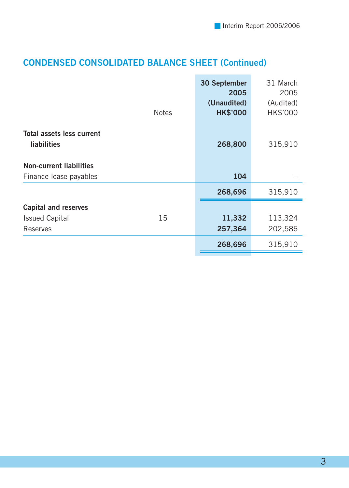## **CONDENSED CONSOLIDATED BALANCE SHEET (Continued)**

|                                                 | <b>Notes</b> | 30 September<br>2005<br>(Unaudited)<br><b>HK\$'000</b> | 31 March<br>2005<br>(Audited)<br>HK\$'000 |
|-------------------------------------------------|--------------|--------------------------------------------------------|-------------------------------------------|
| Total assets less current<br><b>liabilities</b> |              | 268,800                                                | 315,910                                   |
| <b>Non-current liabilities</b>                  |              |                                                        |                                           |
| Finance lease payables                          |              | 104                                                    |                                           |
|                                                 |              | 268,696                                                | 315,910                                   |
| <b>Capital and reserves</b>                     |              |                                                        |                                           |
| <b>Issued Capital</b>                           | 15           | 11,332                                                 | 113,324                                   |
| Reserves                                        |              | 257,364                                                | 202,586                                   |
|                                                 |              | 268,696                                                | 315,910                                   |
|                                                 |              |                                                        |                                           |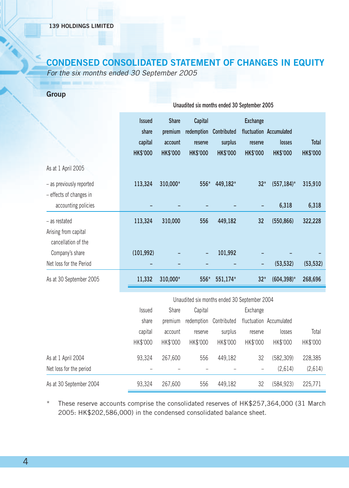## **CONDENSED CONSOLIDATED STATEMENT OF CHANGES IN EQUITY**

For the six months ended 30 September 2005

|                                                              | Unaudited six months ended 30 September 2005         |                                                       |                                                     |                                           |                                               |                                                      |                          |  |
|--------------------------------------------------------------|------------------------------------------------------|-------------------------------------------------------|-----------------------------------------------------|-------------------------------------------|-----------------------------------------------|------------------------------------------------------|--------------------------|--|
|                                                              | <b>Issued</b><br>share<br>capital<br><b>HK\$'000</b> | <b>Share</b><br>premium<br>account<br><b>HK\$'000</b> | Capital<br>redemption<br>reserve<br><b>HK\$'000</b> | Contributed<br>surplus<br><b>HK\$'000</b> | <b>Exchange</b><br>reserve<br><b>HK\$'000</b> | fluctuation Accumulated<br>losses<br><b>HK\$'000</b> | Total<br><b>HK\$'000</b> |  |
| As at 1 April 2005                                           |                                                      |                                                       |                                                     |                                           |                                               |                                                      |                          |  |
| - as previously reported<br>- effects of changes in          | 113,324                                              | 310,000*                                              | 556*                                                | 449,182*                                  | $32*$                                         | $(557, 184)^*$                                       | 315,910                  |  |
| accounting policies                                          |                                                      |                                                       |                                                     |                                           |                                               | 6,318                                                | 6,318                    |  |
| - as restated<br>Arising from capital<br>cancellation of the | 113,324                                              | 310,000                                               | 556                                                 | 449,182                                   | 32                                            | (550, 866)                                           | 322,228                  |  |
| Company's share<br>Net loss for the Period                   | (101, 992)                                           |                                                       |                                                     | 101,992                                   |                                               |                                                      |                          |  |
| As at 30 September 2005                                      | 11,332                                               | 310,000*                                              | 556*                                                | 551,174*                                  | $32*$                                         | (53, 532)<br>$(604, 398)^*$                          | (53, 532)<br>268,696     |  |
|                                                              |                                                      |                                                       |                                                     |                                           |                                               |                                                      |                          |  |
|                                                              |                                                      |                                                       | Unaudited six months ended 30 September 2004        |                                           |                                               |                                                      |                          |  |
|                                                              | Issued                                               | Share                                                 | Capital                                             |                                           | Exchange                                      |                                                      |                          |  |
|                                                              | share                                                | premium                                               | redemption                                          | Contributed                               |                                               | fluctuation Accumulated                              |                          |  |
|                                                              | capital                                              | account                                               | reserve                                             | surplus                                   | reserve                                       | losses                                               | Total                    |  |
|                                                              | HK\$'000                                             | HK\$'000                                              | HK\$'000                                            | HK\$'000                                  | HK\$'000                                      | HK\$'000                                             | HK\$'000                 |  |
| As at 1 April 2004                                           | 93,324                                               | 267.600                                               | 556                                                 | 449,182                                   | 32                                            | (582, 309)                                           | 228,385                  |  |
| Net loss for the period                                      |                                                      |                                                       |                                                     |                                           |                                               | (2.614)                                              | (2.614)                  |  |

As at 30 September 2004 93,324 267,600 556 449,182 32 (584,923) 225,771

\* These reserve accounts comprise the consolidated reserves of HK\$257,364,000 (31 March 2005: HK\$202,586,000) in the condensed consolidated balance sheet.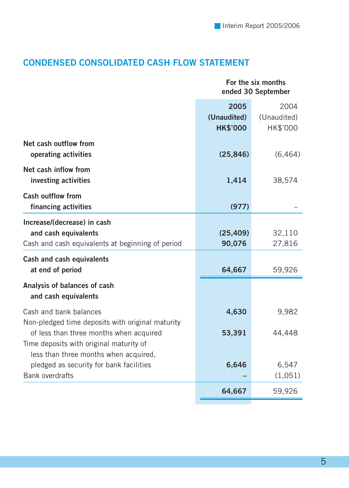## **CONDENSED CONSOLIDATED CASH FLOW STATEMENT**

| For the six months<br>ended 30 September |             |  |
|------------------------------------------|-------------|--|
| 2005                                     | 2004        |  |
| (Unaudited)                              | (Unaudited) |  |
| <b>HK\$'000</b>                          | HK\$'000    |  |
| (25, 846)                                | (6, 464)    |  |
| 1,414                                    | 38,574      |  |
| (977)                                    |             |  |
|                                          |             |  |
| (25, 409)                                | 32,110      |  |
| 90,076                                   | 27,816      |  |
|                                          |             |  |
| 64,667                                   | 59,926      |  |
|                                          |             |  |
| 4,630                                    | 9,982       |  |
|                                          |             |  |
| 53,391                                   | 44,448      |  |
|                                          |             |  |
|                                          |             |  |
|                                          | 6,547       |  |
|                                          | (1,051)     |  |
| 64,667                                   | 59,926      |  |
|                                          | 6,646       |  |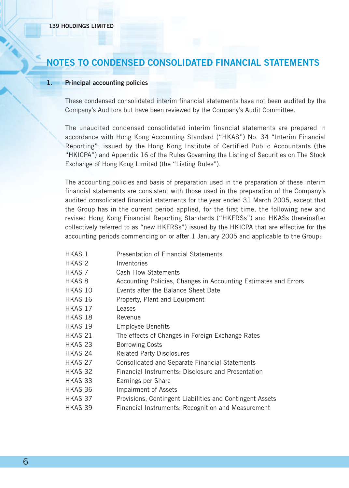## **NOTES TO CONDENSED CONSOLIDATED FINANCIAL STATEMENTS**

#### **1. Principal accounting policies**

These condensed consolidated interim financial statements have not been audited by the Company's Auditors but have been reviewed by the Company's Audit Committee.

The unaudited condensed consolidated interim financial statements are prepared in accordance with Hong Kong Accounting Standard ("HKAS") No. 34 "Interim Financial Reporting", issued by the Hong Kong Institute of Certified Public Accountants (the "HKICPA") and Appendix 16 of the Rules Governing the Listing of Securities on The Stock Exchange of Hong Kong Limited (the "Listing Rules").

The accounting policies and basis of preparation used in the preparation of these interim financial statements are consistent with those used in the preparation of the Company's audited consolidated financial statements for the year ended 31 March 2005, except that the Group has in the current period applied, for the first time, the following new and revised Hong Kong Financial Reporting Standards ("HKFRSs") and HKASs (hereinafter collectively referred to as "new HKFRSs") issued by the HKICPA that are effective for the accounting periods commencing on or after 1 January 2005 and applicable to the Group:

- HKAS 1 Presentation of Financial Statements
- HKAS 2 Inventories
- HKAS 7 Cash Flow Statements
- HKAS 8 Accounting Policies, Changes in Accounting Estimates and Errors
- HKAS 10 Events after the Balance Sheet Date
- HKAS 16 Property, Plant and Equipment
- HKAS 17 Leases
- HKAS 18 Revenue
- HKAS 19 Employee Benefits
- HKAS 21 The effects of Changes in Foreign Exchange Rates
- HKAS 23 Borrowing Costs
- HKAS 24 Related Party Disclosures
- HKAS 27 Consolidated and Separate Financial Statements
- HKAS 32 Financial Instruments: Disclosure and Presentation
- HKAS 33 Earnings per Share
- HKAS 36 Impairment of Assets
- HKAS 37 Provisions, Contingent Liabilities and Contingent Assets
- HKAS 39 Financial Instruments: Recognition and Measurement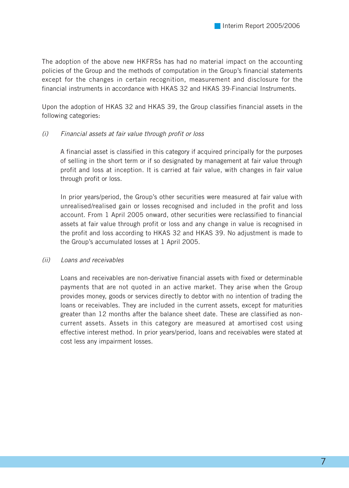The adoption of the above new HKFRSs has had no material impact on the accounting policies of the Group and the methods of computation in the Group's financial statements except for the changes in certain recognition, measurement and disclosure for the financial instruments in accordance with HKAS 32 and HKAS 39-Financial Instruments.

Upon the adoption of HKAS 32 and HKAS 39, the Group classifies financial assets in the following categories:

#### (i) Financial assets at fair value through profit or loss

A financial asset is classified in this category if acquired principally for the purposes of selling in the short term or if so designated by management at fair value through profit and loss at inception. It is carried at fair value, with changes in fair value through profit or loss.

In prior years/period, the Group's other securities were measured at fair value with unrealised/realised gain or losses recognised and included in the profit and loss account. From 1 April 2005 onward, other securities were reclassified to financial assets at fair value through profit or loss and any change in value is recognised in the profit and loss according to HKAS 32 and HKAS 39. No adjustment is made to the Group's accumulated losses at 1 April 2005.

#### (ii) Loans and receivables

Loans and receivables are non-derivative financial assets with fixed or determinable payments that are not quoted in an active market. They arise when the Group provides money, goods or services directly to debtor with no intention of trading the loans or receivables. They are included in the current assets, except for maturities greater than 12 months after the balance sheet date. These are classified as noncurrent assets. Assets in this category are measured at amortised cost using effective interest method. In prior years/period, loans and receivables were stated at cost less any impairment losses.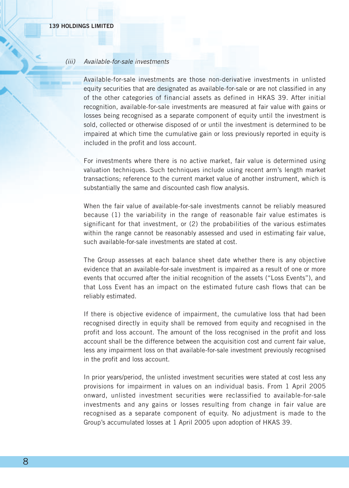#### (iii) Available-for-sale investments

Available-for-sale investments are those non-derivative investments in unlisted equity securities that are designated as available-for-sale or are not classified in any of the other categories of financial assets as defined in HKAS 39. After initial recognition, available-for-sale investments are measured at fair value with gains or losses being recognised as a separate component of equity until the investment is sold, collected or otherwise disposed of or until the investment is determined to be impaired at which time the cumulative gain or loss previously reported in equity is included in the profit and loss account.

For investments where there is no active market, fair value is determined using valuation techniques. Such techniques include using recent arm's length market transactions; reference to the current market value of another instrument, which is substantially the same and discounted cash flow analysis.

When the fair value of available-for-sale investments cannot be reliably measured because (1) the variability in the range of reasonable fair value estimates is significant for that investment, or (2) the probabilities of the various estimates within the range cannot be reasonably assessed and used in estimating fair value, such available-for-sale investments are stated at cost.

The Group assesses at each balance sheet date whether there is any objective evidence that an available-for-sale investment is impaired as a result of one or more events that occurred after the initial recognition of the assets ("Loss Events"), and that Loss Event has an impact on the estimated future cash flows that can be reliably estimated.

If there is objective evidence of impairment, the cumulative loss that had been recognised directly in equity shall be removed from equity and recognised in the profit and loss account. The amount of the loss recognised in the profit and loss account shall be the difference between the acquisition cost and current fair value, less any impairment loss on that available-for-sale investment previously recognised in the profit and loss account.

In prior years/period, the unlisted investment securities were stated at cost less any provisions for impairment in values on an individual basis. From 1 April 2005 onward, unlisted investment securities were reclassified to available-for-sale investments and any gains or losses resulting from change in fair value are recognised as a separate component of equity. No adjustment is made to the Group's accumulated losses at 1 April 2005 upon adoption of HKAS 39.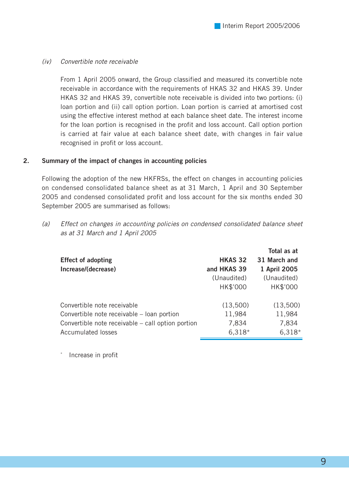#### (iv) Convertible note receivable

From 1 April 2005 onward, the Group classified and measured its convertible note receivable in accordance with the requirements of HKAS 32 and HKAS 39. Under HKAS 32 and HKAS 39, convertible note receivable is divided into two portions: (i) loan portion and (ii) call option portion. Loan portion is carried at amortised cost using the effective interest method at each balance sheet date. The interest income for the loan portion is recognised in the profit and loss account. Call option portion is carried at fair value at each balance sheet date, with changes in fair value recognised in profit or loss account.

#### **2. Summary of the impact of changes in accounting policies**

Following the adoption of the new HKFRSs, the effect on changes in accounting policies on condensed consolidated balance sheet as at 31 March, 1 April and 30 September 2005 and condensed consolidated profit and loss account for the six months ended 30 September 2005 are summarised as follows:

(a) Effect on changes in accounting policies on condensed consolidated balance sheet as at 31 March and 1 April 2005

|                | Total as at  |
|----------------|--------------|
| <b>HKAS 32</b> | 31 March and |
| and HKAS 39    | 1 April 2005 |
| (Unaudited)    | (Unaudited)  |
| HK\$'000       | HK\$'000     |
| (13,500)       | (13,500)     |
| 11,984         | 11,984       |
| 7,834          | 7,834        |
| $6,318*$       | $6,318*$     |
|                |              |

Increase in profit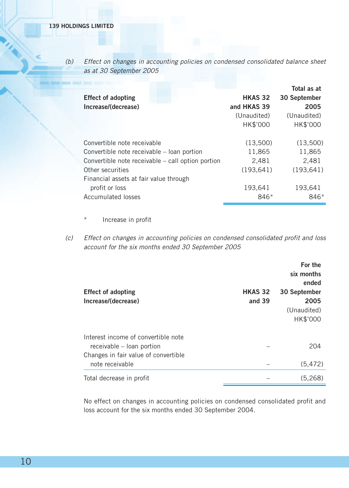(b) Effect on changes in accounting policies on condensed consolidated balance sheet as at 30 September 2005

| <b>Effect of adopting</b><br>Increase/(decrease)  | <b>HKAS 32</b><br>and HKAS 39<br>(Unaudited)<br>HK\$'000 | Total as at<br>30 September<br>2005<br>(Unaudited)<br>HK\$'000 |
|---------------------------------------------------|----------------------------------------------------------|----------------------------------------------------------------|
| Convertible note receivable                       | (13.500)                                                 | (13,500)                                                       |
| Convertible note receivable - loan portion        | 11,865                                                   | 11,865                                                         |
| Convertible note receivable – call option portion | 2,481                                                    | 2.481                                                          |
| Other securities                                  | (193.641)                                                | (193.641)                                                      |
| Financial assets at fair value through            |                                                          |                                                                |
| profit or loss                                    | 193,641                                                  | 193.641                                                        |
| Accumulated losses                                | 846*                                                     | 846*                                                           |

- Increase in profit
- (c) Effect on changes in accounting policies on condensed consolidated profit and loss account for the six months ended 30 September 2005

| <b>Effect of adopting</b><br>Increase/(decrease)                 | <b>HKAS 32</b><br>and 39 | For the<br>six months<br>ended<br>30 September<br>2005<br>(Unaudited) |
|------------------------------------------------------------------|--------------------------|-----------------------------------------------------------------------|
|                                                                  |                          | HK\$'000                                                              |
| Interest income of convertible note<br>receivable – loan portion |                          | 204                                                                   |
| Changes in fair value of convertible<br>note receivable          |                          | (5, 472)                                                              |
| Total decrease in profit                                         |                          | (5.268)                                                               |

No effect on changes in accounting policies on condensed consolidated profit and loss account for the six months ended 30 September 2004.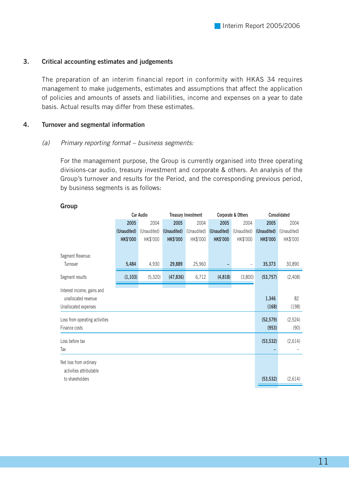#### **3. Critical accounting estimates and judgements**

The preparation of an interim financial report in conformity with HKAS 34 requires management to make judgements, estimates and assumptions that affect the application of policies and amounts of assets and liabilities, income and expenses on a year to date basis. Actual results may differ from these estimates.

#### **4. Turnover and segmental information**

#### (a) Primary reporting format – business segments:

For the management purpose, the Group is currently organised into three operating divisions-car audio, treasury investment and corporate & others. An analysis of the Group's turnover and results for the Period, and the corresponding previous period, by business segments is as follows:

|                                                                           |                 | Car Audio<br><b>Treasury Investment</b> |                 | Corporate & Others |                 | Consolidated |                    |                 |
|---------------------------------------------------------------------------|-----------------|-----------------------------------------|-----------------|--------------------|-----------------|--------------|--------------------|-----------------|
|                                                                           | 2005            | 2004                                    | 2005            | 2004               | 2005            | 2004         | 2005               | 2004            |
|                                                                           | (Unaudited)     | (Unaudited)                             | (Unaudited)     | (Unaudited)        | (Unaudited)     | (Unaudited)  | (Unaudited)        | (Unaudited)     |
|                                                                           | <b>HK\$'000</b> | HK\$'000                                | <b>HK\$'000</b> | HK\$'000           | <b>HK\$'000</b> | HK\$'000     | <b>HK\$'000</b>    | HK\$'000        |
| Segment Revenue:<br>Turnover                                              | 5,484           | 4,930                                   | 29,889          | 25,960             |                 |              | 35,373             | 30,890          |
| Segment results                                                           | (1, 103)        | (5,320)                                 | (47, 836)       | 6,712              | (4,818)         | (3,800)      | (53, 757)          | (2,408)         |
| Interest income, gains and<br>unallocated revenue<br>Unallocated expenses |                 |                                         |                 |                    |                 |              | 1,346<br>(168)     | 82<br>(198)     |
| Loss from operating activities<br>Finance costs                           |                 |                                         |                 |                    |                 |              | (52, 579)<br>(953) | (2,524)<br>(90) |
| Loss before tax<br>Tax                                                    |                 |                                         |                 |                    |                 |              | (53, 532)          | (2,614)         |
| Net loss from ordinary<br>activities attributable                         |                 |                                         |                 |                    |                 |              |                    |                 |
| to shareholders                                                           |                 |                                         |                 |                    |                 |              | (53, 532)          | (2,614)         |

#### **Group**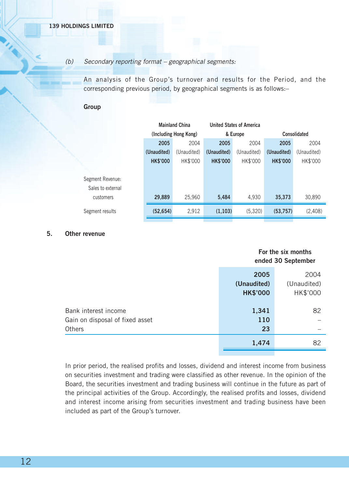#### (b) Secondary reporting format – geographical segments:

An analysis of the Group's turnover and results for the Period, and the corresponding previous period, by geographical segments is as follows:–

#### **Group**

|                   | <b>Mainland China</b> |                       |                 | <b>United States of America</b> |                 |             |  |
|-------------------|-----------------------|-----------------------|-----------------|---------------------------------|-----------------|-------------|--|
|                   |                       | (Including Hong Kong) |                 | & Europe                        | Consolidated    |             |  |
|                   | 2005                  | 2004                  |                 | 2004                            | 2005            | 2004        |  |
|                   | (Unaudited)           | (Unaudited)           | (Unaudited)     | (Unaudited)                     | (Unaudited)     | (Unaudited) |  |
|                   | <b>HK\$'000</b>       | HK\$'000              | <b>HK\$'000</b> | HK\$'000                        | <b>HK\$'000</b> | HK\$'000    |  |
|                   |                       |                       |                 |                                 |                 |             |  |
| Segment Revenue:  |                       |                       |                 |                                 |                 |             |  |
| Sales to external |                       |                       |                 |                                 |                 |             |  |
| customers         | 29,889                | 25,960                | 5.484           | 4,930                           | 35,373          | 30,890      |  |
| Segment results   | (52, 654)             | 2,912                 | (1, 103)        | (5,320)                         | (53, 757)       | (2,408)     |  |

#### **5. Other revenue**

|                                                                   | For the six months<br>ended 30 September |                                 |
|-------------------------------------------------------------------|------------------------------------------|---------------------------------|
|                                                                   | 2005<br>(Unaudited)<br><b>HK\$'000</b>   | 2004<br>(Unaudited)<br>HK\$'000 |
| Bank interest income<br>Gain on disposal of fixed asset<br>Others | 1,341<br>110<br>23                       | 82                              |
|                                                                   | 1,474                                    | 82                              |

In prior period, the realised profits and losses, dividend and interest income from business on securities investment and trading were classified as other revenue. In the opinion of the Board, the securities investment and trading business will continue in the future as part of the principal activities of the Group. Accordingly, the realised profits and losses, dividend and interest income arising from securities investment and trading business have been included as part of the Group's turnover.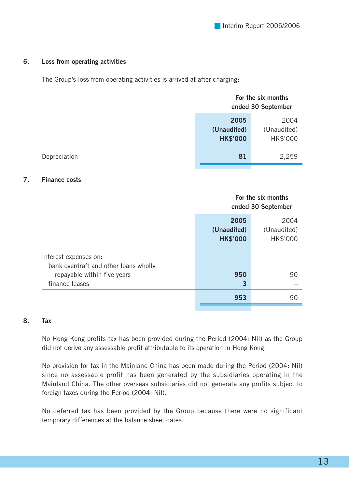#### **6. Loss from operating activities**

The Group's loss from operating activities is arrived at after charging:–

| For the six months<br>ended 30 September |             |
|------------------------------------------|-------------|
| 2005                                     | 2004        |
| (Unaudited)                              | (Unaudited) |
| <b>HK\$'000</b>                          | HK\$'000    |
| 81                                       | 2,259       |
|                                          |             |

#### **7. Finance costs**

|                                       | For the six months<br>ended 30 September |                                 |
|---------------------------------------|------------------------------------------|---------------------------------|
|                                       | 2005<br>(Unaudited)<br><b>HK\$'000</b>   | 2004<br>(Unaudited)<br>HK\$'000 |
| Interest expenses on:                 |                                          |                                 |
| bank overdraft and other loans wholly |                                          |                                 |
| repayable within five years           | 950                                      | 90                              |
| finance leases                        | 3                                        |                                 |
|                                       | 953                                      | 90                              |

#### **8. Tax**

No Hong Kong profits tax has been provided during the Period (2004: Nil) as the Group did not derive any assessable profit attributable to its operation in Hong Kong.

No provision for tax in the Mainland China has been made during the Period (2004: Nil) since no assessable profit has been generated by the subsidiaries operating in the Mainland China. The other overseas subsidiaries did not generate any profits subject to foreign taxes during the Period (2004: Nil).

No deferred tax has been provided by the Group because there were no significant temporary differences at the balance sheet dates.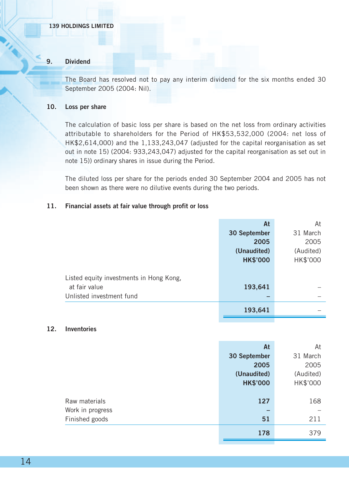#### **139 HOLDINGS LIMITED**

#### **9. Dividend**

The Board has resolved not to pay any interim dividend for the six months ended 30 September 2005 (2004: Nil).

#### **10. Loss per share**

The calculation of basic loss per share is based on the net loss from ordinary activities attributable to shareholders for the Period of HK\$53,532,000 (2004: net loss of HK\$2,614,000) and the 1,133,243,047 (adjusted for the capital reorganisation as set out in note 15) (2004: 933,243,047) adjusted for the capital reorganisation as set out in note 15)) ordinary shares in issue during the Period.

The diluted loss per share for the periods ended 30 September 2004 and 2005 has not been shown as there were no dilutive events during the two periods.

#### **11. Financial assets at fair value through profit or loss**

|                                         | At              | At        |
|-----------------------------------------|-----------------|-----------|
|                                         | 30 September    | 31 March  |
|                                         | 2005            | 2005      |
|                                         | (Unaudited)     | (Audited) |
|                                         | <b>HK\$'000</b> | HK\$'000  |
|                                         |                 |           |
| Listed equity investments in Hong Kong, |                 |           |
| at fair value                           | 193,641         |           |
| Unlisted investment fund                |                 |           |
|                                         | 193,641         |           |

#### **12. Inventories**

|                  | At              | At        |
|------------------|-----------------|-----------|
|                  | 30 September    | 31 March  |
|                  | 2005            | 2005      |
|                  | (Unaudited)     | (Audited) |
|                  | <b>HK\$'000</b> | HK\$'000  |
|                  |                 |           |
| Raw materials    | 127             | 168       |
| Work in progress |                 |           |
| Finished goods   | 51              | 211       |
|                  | 178             | 379       |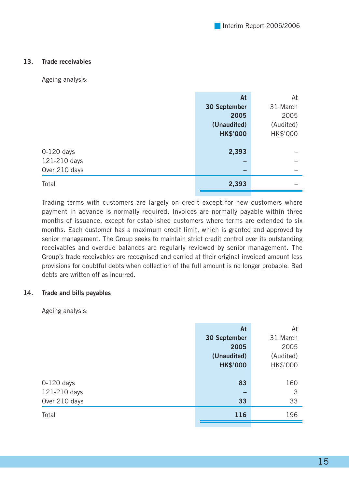#### **13. Trade receivables**

Ageing analysis:

|               | At                       | At        |
|---------------|--------------------------|-----------|
|               | 30 September             | 31 March  |
|               | 2005                     | 2005      |
|               | (Unaudited)              | (Audited) |
|               | <b>HK\$'000</b>          | HK\$'000  |
|               |                          |           |
| $0-120$ days  | 2,393                    |           |
| 121-210 days  | -                        |           |
| Over 210 days | $\overline{\phantom{0}}$ |           |
| Total         | 2,393                    |           |

Trading terms with customers are largely on credit except for new customers where payment in advance is normally required. Invoices are normally payable within three months of issuance, except for established customers where terms are extended to six months. Each customer has a maximum credit limit, which is granted and approved by senior management. The Group seeks to maintain strict credit control over its outstanding receivables and overdue balances are regularly reviewed by senior management. The Group's trade receivables are recognised and carried at their original invoiced amount less provisions for doubtful debts when collection of the full amount is no longer probable. Bad debts are written off as incurred.

#### **14. Trade and bills payables**

Ageing analysis:

|               | At              | At        |
|---------------|-----------------|-----------|
|               | 30 September    | 31 March  |
|               | 2005            | 2005      |
|               | (Unaudited)     | (Audited) |
|               | <b>HK\$'000</b> | HK\$'000  |
|               |                 |           |
| $0-120$ days  | 83              | 160       |
| 121-210 days  | -               | 3         |
| Over 210 days | 33              | 33        |
| Total         | 116             | 196       |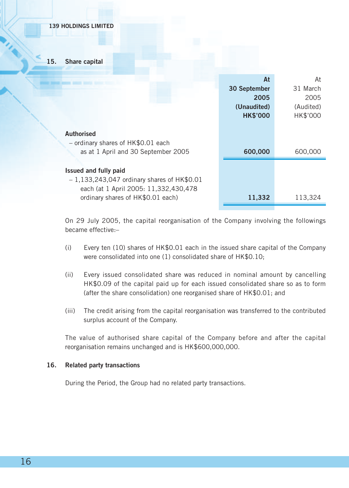**15. Share capital**

|                                              | At              | At        |
|----------------------------------------------|-----------------|-----------|
|                                              | 30 September    | 31 March  |
|                                              | 2005            | 2005      |
|                                              | (Unaudited)     | (Audited) |
|                                              | <b>HK\$'000</b> | HK\$'000  |
|                                              |                 |           |
| Authorised                                   |                 |           |
| - ordinary shares of HK\$0.01 each           |                 |           |
| as at 1 April and 30 September 2005          | 600,000         | 600,000   |
|                                              |                 |           |
| Issued and fully paid                        |                 |           |
| $-1,133,243,047$ ordinary shares of HK\$0.01 |                 |           |
| each (at 1 April 2005: 11,332,430,478        |                 |           |
| ordinary shares of HK\$0.01 each)            | 11,332          | 113,324   |
|                                              |                 |           |

On 29 July 2005, the capital reorganisation of the Company involving the followings became effective:–

- (i) Every ten (10) shares of HK\$0.01 each in the issued share capital of the Company were consolidated into one (1) consolidated share of HK\$0.10;
- (ii) Every issued consolidated share was reduced in nominal amount by cancelling HK\$0.09 of the capital paid up for each issued consolidated share so as to form (after the share consolidation) one reorganised share of HK\$0.01; and
- (iii) The credit arising from the capital reorganisation was transferred to the contributed surplus account of the Company.

The value of authorised share capital of the Company before and after the capital reorganisation remains unchanged and is HK\$600,000,000.

#### **16. Related party transactions**

During the Period, the Group had no related party transactions.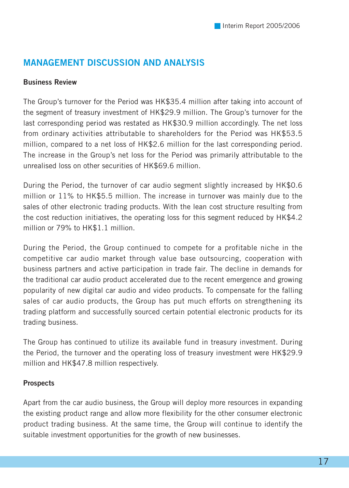## **MANAGEMENT DISCUSSION AND ANALYSIS**

#### **Business Review**

The Group's turnover for the Period was HK\$35.4 million after taking into account of the segment of treasury investment of HK\$29.9 million. The Group's turnover for the last corresponding period was restated as HK\$30.9 million accordingly. The net loss from ordinary activities attributable to shareholders for the Period was HK\$53.5 million, compared to a net loss of HK\$2.6 million for the last corresponding period. The increase in the Group's net loss for the Period was primarily attributable to the unrealised loss on other securities of HK\$69.6 million.

During the Period, the turnover of car audio segment slightly increased by HK\$0.6 million or 11% to HK\$5.5 million. The increase in turnover was mainly due to the sales of other electronic trading products. With the lean cost structure resulting from the cost reduction initiatives, the operating loss for this segment reduced by HK\$4.2 million or 79% to HK\$1.1 million.

During the Period, the Group continued to compete for a profitable niche in the competitive car audio market through value base outsourcing, cooperation with business partners and active participation in trade fair. The decline in demands for the traditional car audio product accelerated due to the recent emergence and growing popularity of new digital car audio and video products. To compensate for the falling sales of car audio products, the Group has put much efforts on strengthening its trading platform and successfully sourced certain potential electronic products for its trading business.

The Group has continued to utilize its available fund in treasury investment. During the Period, the turnover and the operating loss of treasury investment were HK\$29.9 million and HK\$47.8 million respectively.

#### **Prospects**

Apart from the car audio business, the Group will deploy more resources in expanding the existing product range and allow more flexibility for the other consumer electronic product trading business. At the same time, the Group will continue to identify the suitable investment opportunities for the growth of new businesses.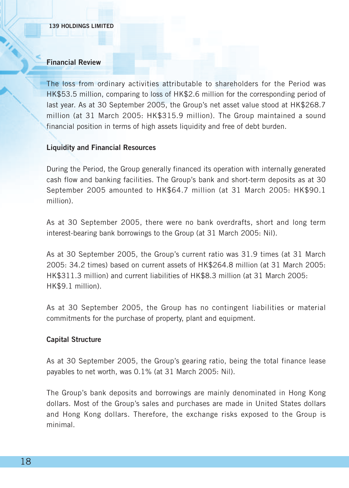#### **Financial Review**

The loss from ordinary activities attributable to shareholders for the Period was HK\$53.5 million, comparing to loss of HK\$2.6 million for the corresponding period of last year. As at 30 September 2005, the Group's net asset value stood at HK\$268.7 million (at 31 March 2005: HK\$315.9 million). The Group maintained a sound financial position in terms of high assets liquidity and free of debt burden.

#### **Liquidity and Financial Resources**

During the Period, the Group generally financed its operation with internally generated cash flow and banking facilities. The Group's bank and short-term deposits as at 30 September 2005 amounted to HK\$64.7 million (at 31 March 2005: HK\$90.1 million).

As at 30 September 2005, there were no bank overdrafts, short and long term interest-bearing bank borrowings to the Group (at 31 March 2005: Nil).

As at 30 September 2005, the Group's current ratio was 31.9 times (at 31 March 2005: 34.2 times) based on current assets of HK\$264.8 million (at 31 March 2005: HK\$311.3 million) and current liabilities of HK\$8.3 million (at 31 March 2005: HK\$9.1 million).

As at 30 September 2005, the Group has no contingent liabilities or material commitments for the purchase of property, plant and equipment.

#### **Capital Structure**

As at 30 September 2005, the Group's gearing ratio, being the total finance lease payables to net worth, was 0.1% (at 31 March 2005: Nil).

The Group's bank deposits and borrowings are mainly denominated in Hong Kong dollars. Most of the Group's sales and purchases are made in United States dollars and Hong Kong dollars. Therefore, the exchange risks exposed to the Group is minimal.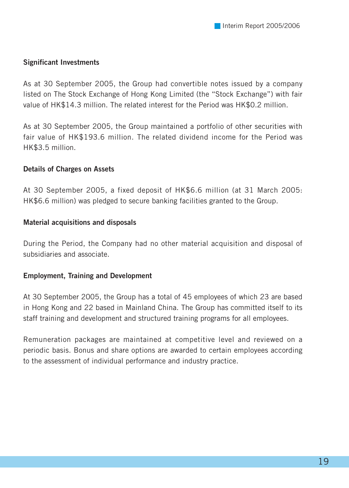#### **Significant Investments**

As at 30 September 2005, the Group had convertible notes issued by a company listed on The Stock Exchange of Hong Kong Limited (the "Stock Exchange") with fair value of HK\$14.3 million. The related interest for the Period was HK\$0.2 million.

As at 30 September 2005, the Group maintained a portfolio of other securities with fair value of HK\$193.6 million. The related dividend income for the Period was HK\$3.5 million.

#### **Details of Charges on Assets**

At 30 September 2005, a fixed deposit of HK\$6.6 million (at 31 March 2005: HK\$6.6 million) was pledged to secure banking facilities granted to the Group.

#### **Material acquisitions and disposals**

During the Period, the Company had no other material acquisition and disposal of subsidiaries and associate.

#### **Employment, Training and Development**

At 30 September 2005, the Group has a total of 45 employees of which 23 are based in Hong Kong and 22 based in Mainland China. The Group has committed itself to its staff training and development and structured training programs for all employees.

Remuneration packages are maintained at competitive level and reviewed on a periodic basis. Bonus and share options are awarded to certain employees according to the assessment of individual performance and industry practice.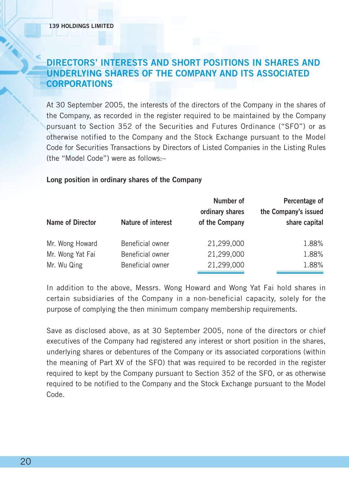## **DIRECTORS' INTERESTS AND SHORT POSITIONS IN SHARES AND UNDERLYING SHARES OF THE COMPANY AND ITS ASSOCIATED CORPORATIONS**

At 30 September 2005, the interests of the directors of the Company in the shares of the Company, as recorded in the register required to be maintained by the Company pursuant to Section 352 of the Securities and Futures Ordinance ("SFO") or as otherwise notified to the Company and the Stock Exchange pursuant to the Model Code for Securities Transactions by Directors of Listed Companies in the Listing Rules (the "Model Code") were as follows:–

#### **Long position in ordinary shares of the Company**

|                  |                    | Number of<br>ordinary shares | Percentage of<br>the Company's issued |
|------------------|--------------------|------------------------------|---------------------------------------|
| Name of Director | Nature of interest | of the Company               | share capital                         |
| Mr. Wong Howard  | Beneficial owner   | 21,299,000                   | 1.88%                                 |
| Mr. Wong Yat Fai | Beneficial owner   | 21,299,000                   | 1.88%                                 |
| Mr. Wu Qing      | Beneficial owner   | 21,299,000                   | 1.88%                                 |

In addition to the above, Messrs. Wong Howard and Wong Yat Fai hold shares in certain subsidiaries of the Company in a non-beneficial capacity, solely for the purpose of complying the then minimum company membership requirements.

Save as disclosed above, as at 30 September 2005, none of the directors or chief executives of the Company had registered any interest or short position in the shares, underlying shares or debentures of the Company or its associated corporations (within the meaning of Part XV of the SFO) that was required to be recorded in the register required to kept by the Company pursuant to Section 352 of the SFO, or as otherwise required to be notified to the Company and the Stock Exchange pursuant to the Model Code.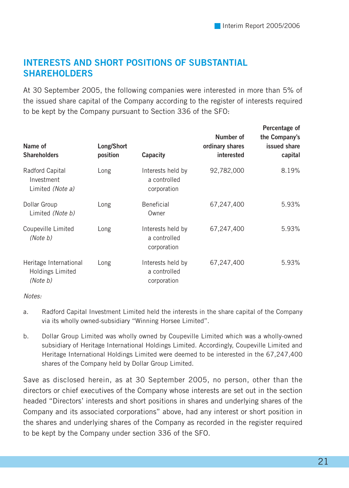## **INTERESTS AND SHORT POSITIONS OF SUBSTANTIAL SHAREHOLDERS**

At 30 September 2005, the following companies were interested in more than 5% of the issued share capital of the Company according to the register of interests required to be kept by the Company pursuant to Section 336 of the SFO:

| Name of<br><b>Shareholders</b>                         | Long/Short<br>position | Capacity                                         | Number of<br>ordinary shares<br>interested | Percentage of<br>the Company's<br>issued share<br>capital |
|--------------------------------------------------------|------------------------|--------------------------------------------------|--------------------------------------------|-----------------------------------------------------------|
| Radford Capital<br>Investment<br>Limited (Note a)      | Long                   | Interests held by<br>a controlled<br>corporation | 92,782,000                                 | 8.19%                                                     |
| Dollar Group<br>Limited (Note b)                       | Long                   | Beneficial<br>Owner                              | 67,247,400                                 | 5.93%                                                     |
| Coupeville Limited<br>(Note b)                         | Long                   | Interests held by<br>a controlled<br>corporation | 67,247,400                                 | 5.93%                                                     |
| Heritage International<br>Holdings Limited<br>(Note b) | Long                   | Interests held by<br>a controlled<br>corporation | 67,247,400                                 | 5.93%                                                     |

Notes:

- a. Radford Capital Investment Limited held the interests in the share capital of the Company via its wholly owned-subsidiary "Winning Horsee Limited".
- b. Dollar Group Limited was wholly owned by Coupeville Limited which was a wholly-owned subsidiary of Heritage International Holdings Limited. Accordingly, Coupeville Limited and Heritage International Holdings Limited were deemed to be interested in the 67,247,400 shares of the Company held by Dollar Group Limited.

Save as disclosed herein, as at 30 September 2005, no person, other than the directors or chief executives of the Company whose interests are set out in the section headed "Directors' interests and short positions in shares and underlying shares of the Company and its associated corporations" above, had any interest or short position in the shares and underlying shares of the Company as recorded in the register required to be kept by the Company under section 336 of the SFO.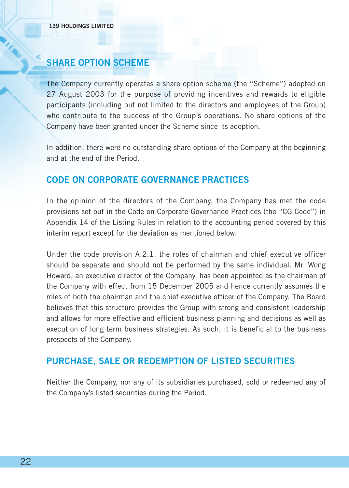## **SHARE OPTION SCHEME**

The Company currently operates a share option scheme (the "Scheme") adopted on 27 August 2003 for the purpose of providing incentives and rewards to eligible participants (including but not limited to the directors and employees of the Group) who contribute to the success of the Group's operations. No share options of the Company have been granted under the Scheme since its adoption.

In addition, there were no outstanding share options of the Company at the beginning and at the end of the Period.

## **CODE ON CORPORATE GOVERNANCE PRACTICES**

In the opinion of the directors of the Company, the Company has met the code provisions set out in the Code on Corporate Governance Practices (the "CG Code") in Appendix 14 of the Listing Rules in relation to the accounting period covered by this interim report except for the deviation as mentioned below:

Under the code provision A.2.1, the roles of chairman and chief executive officer should be separate and should not be performed by the same individual. Mr. Wong Howard, an executive director of the Company, has been appointed as the chairman of the Company with effect from 15 December 2005 and hence currently assumes the roles of both the chairman and the chief executive officer of the Company. The Board believes that this structure provides the Group with strong and consistent leadership and allows for more effective and efficient business planning and decisions as well as execution of long term business strategies. As such, it is beneficial to the business prospects of the Company.

## **PURCHASE, SALE OR REDEMPTION OF LISTED SECURITIES**

Neither the Company, nor any of its subsidiaries purchased, sold or redeemed any of the Company's listed securities during the Period.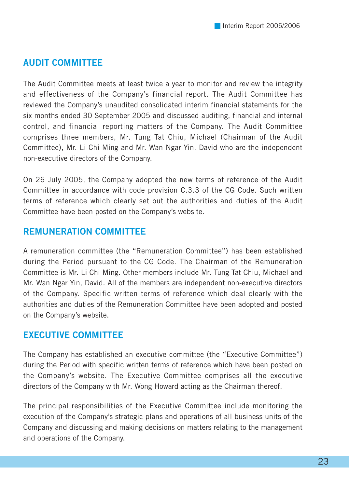## **AUDIT COMMITTEE**

The Audit Committee meets at least twice a year to monitor and review the integrity and effectiveness of the Company's financial report. The Audit Committee has reviewed the Company's unaudited consolidated interim financial statements for the six months ended 30 September 2005 and discussed auditing, financial and internal control, and financial reporting matters of the Company. The Audit Committee comprises three members, Mr. Tung Tat Chiu, Michael (Chairman of the Audit Committee), Mr. Li Chi Ming and Mr. Wan Ngar Yin, David who are the independent non-executive directors of the Company.

On 26 July 2005, the Company adopted the new terms of reference of the Audit Committee in accordance with code provision C.3.3 of the CG Code. Such written terms of reference which clearly set out the authorities and duties of the Audit Committee have been posted on the Company's website.

## **REMUNERATION COMMITTEE**

A remuneration committee (the "Remuneration Committee") has been established during the Period pursuant to the CG Code. The Chairman of the Remuneration Committee is Mr. Li Chi Ming. Other members include Mr. Tung Tat Chiu, Michael and Mr. Wan Ngar Yin, David. All of the members are independent non-executive directors of the Company. Specific written terms of reference which deal clearly with the authorities and duties of the Remuneration Committee have been adopted and posted on the Company's website.

## **EXECUTIVE COMMITTEE**

The Company has established an executive committee (the "Executive Committee") during the Period with specific written terms of reference which have been posted on the Company's website. The Executive Committee comprises all the executive directors of the Company with Mr. Wong Howard acting as the Chairman thereof.

The principal responsibilities of the Executive Committee include monitoring the execution of the Company's strategic plans and operations of all business units of the Company and discussing and making decisions on matters relating to the management and operations of the Company.